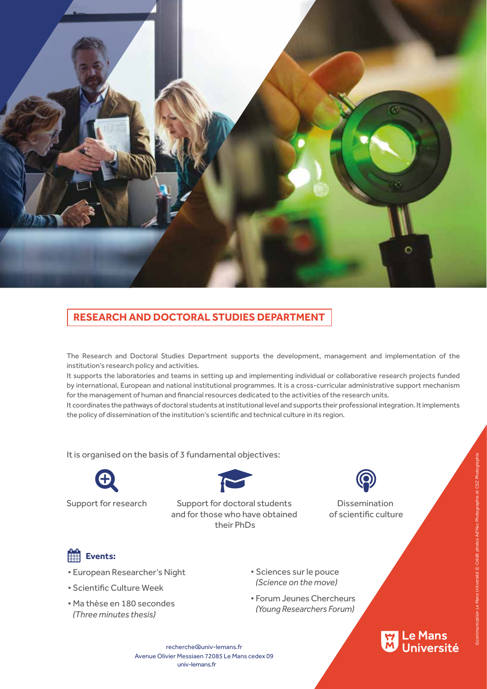

## **RESEARCH AND DOCTORAL STUDIES DEPARTMENT**

The Research and Doctoral Studies Department supports the development, management and implementation of the institution's research policy and activities.

It supports the laboratories and teams in setting up and implementing individual or collaborative research projects funded by international, European and national institutional programmes. It is a cross-curricular administrative support mechanism for the management of human and financial resources dedicated to the activities of the research units.

It coordinates the pathways of doctoral students at institutional level and supports their professional integration. It implements the policy of dissemination of the institution's scientific and technical culture in its region.

It is organised on the basis of 3 fundamental objectives:



Support for research Support for doctoral students Dissemination and for those who have obtained their PhDs



of scientific culture

## **Events:**

- European Researcher's Night
- Scientific Culture Week
- Ma thèse en 180 secondes  *(Three minutes thesis)*
- Sciences sur le pouce  *(Science on the move)*
- Forum Jeunes Chercheurs *(Young Researchers Forum)*



recherche@univ-lemans.fr univ-lemans.fr Avenue Olivier Messiaen 72085 Le Mans cedex 09